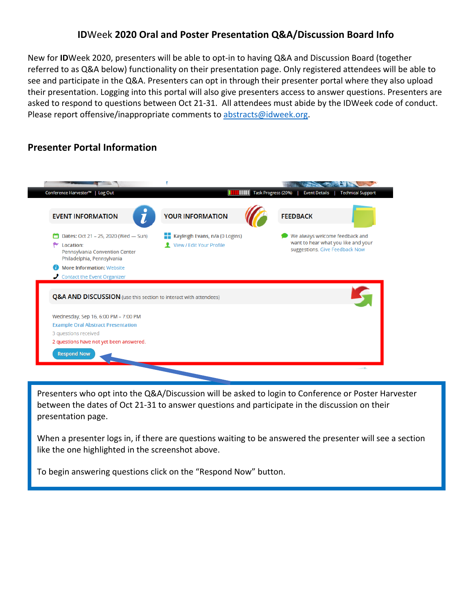## **ID**Week **2020 Oral and Poster Presentation Q&A/Discussion Board Info**

New for **ID**Week 2020, presenters will be able to opt-in to having Q&A and Discussion Board (together referred to as Q&A below) functionality on their presentation page. Only registered attendees will be able to see and participate in the Q&A. Presenters can opt in through their presenter portal where they also upload their presentation. Logging into this portal will also give presenters access to answer questions. Presenters are asked to respond to questions between Oct 21-31. All attendees must abide by the IDWeek code of conduct. Please report offensive/inappropriate comments to [abstracts@idweek.org.](mailto:abstracts@idweek.org)

## **Presenter Portal Information**



Presenters who opt into the Q&A/Discussion will be asked to login to Conference or Poster Harvester between the dates of Oct 21-31 to answer questions and participate in the discussion on their presentation page.

When a presenter logs in, if there are questions waiting to be answered the presenter will see a section like the one highlighted in the screenshot above.

To begin answering questions click on the "Respond Now" button.